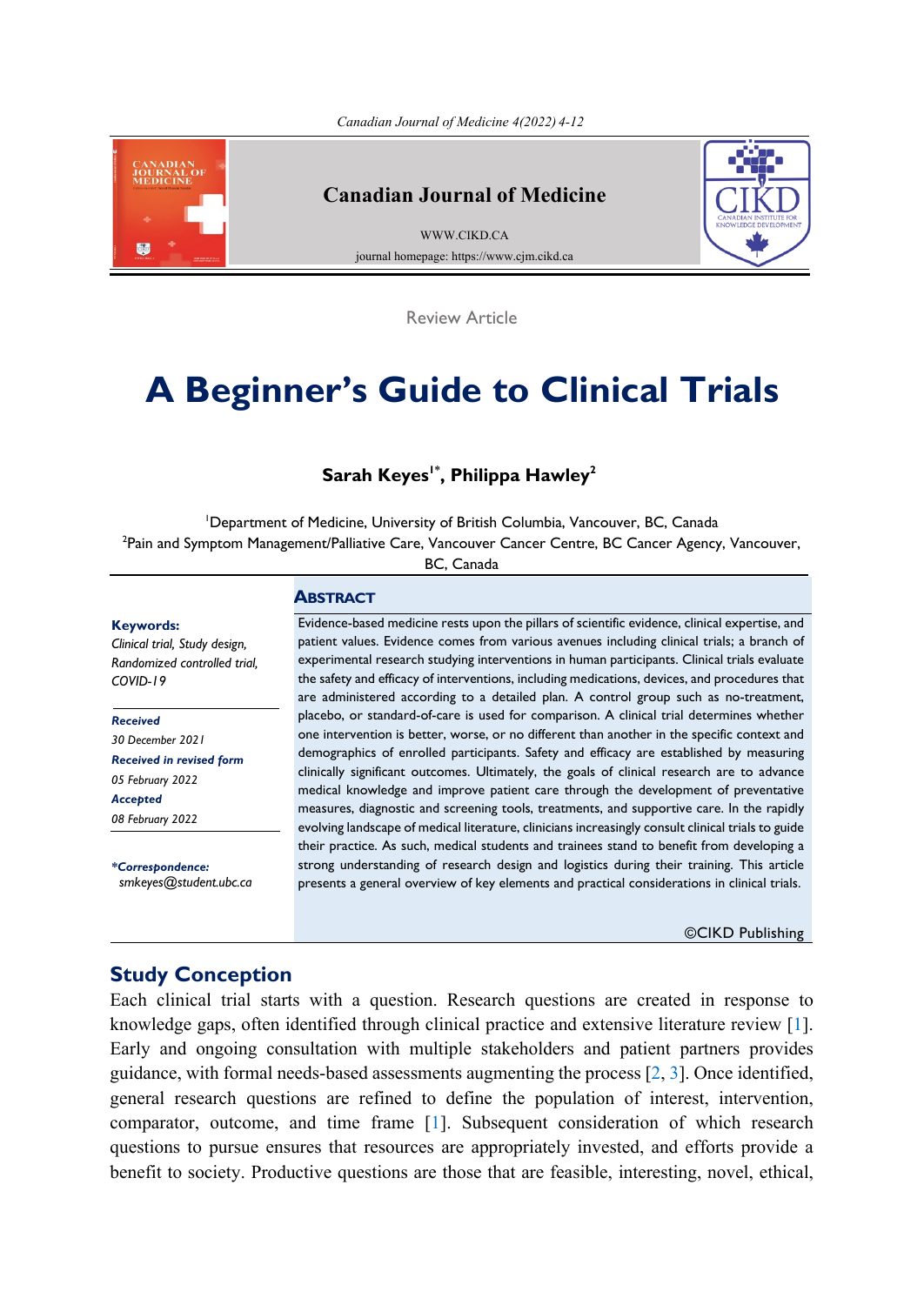<span id="page-0-0"></span>

#### **Canadian Journal of Medicine**

[WWW.CIKD.CA](http://www.cikd.ca/) journal homepage: https://www.cjm.cikd.ca



Review Article

# **A Beginner's Guide to Clinical Trials**

## **Sarah Keyes<sup>1\*</sup>, Philippa Hawley<sup>2</sup>**

1 Department of Medicine, University of British Columbia, Vancouver, BC, Canada <sup>2</sup>Pain and Symptom Management/Palliative Care, Vancouver Cancer Centre, BC Cancer Agency, Vancouver,

BC, Canada

#### **Keywords:**

*Clinical trial, Study design, Randomized controlled trial, COVID-19*

*Received 30 December 2021 Received in revised form 05 February 2022 Accepted 08 February 2022*

*\*Correspondence: [smkeyes@student.ubc.ca](mailto:smkeyes@student.ubc.ca)*

#### **ABSTRACT**

Evidence-based medicine rests upon the pillars of scientific evidence, clinical expertise, and patient values. Evidence comes from various avenues including clinical trials; a branch of experimental research studying interventions in human participants. Clinical trials evaluate the safety and efficacy of interventions, including medications, devices, and procedures that are administered according to a detailed plan. A control group such as no-treatment, placebo, or standard-of-care is used for comparison. A clinical trial determines whether one intervention is better, worse, or no different than another in the specific context and demographics of enrolled participants. Safety and efficacy are established by measuring clinically significant outcomes. Ultimately, the goals of clinical research are to advance medical knowledge and improve patient care through the development of preventative measures, diagnostic and screening tools, treatments, and supportive care. In the rapidly evolving landscape of medical literature, clinicians increasingly consult clinical trials to guide their practice. As such, medical students and trainees stand to benefit from developing a strong understanding of research design and logistics during their training. This article presents a general overview of key elements and practical considerations in clinical trials.

©CIKD Publishing

## **Study Conception**

Each clinical trial starts with a question. Research questions are created in response to knowledge gaps, often identified through clinical practice and extensive literature review [[1\]](#page-7-0). Early and ongoing consultation with multiple stakeholders and patient partners provides guidance, with formal needs-based assessments augmenting the process  $[2, 3]$  $[2, 3]$  $[2, 3]$ . Once identified, general research questions are refined to define the population of interest, intervention, comparator, outcome, and time frame [[1\]](#page-7-0). Subsequent consideration of which research questions to pursue ensures that resources are appropriately invested, and efforts provide a benefit to society. Productive questions are those that are feasible, interesting, novel, ethical,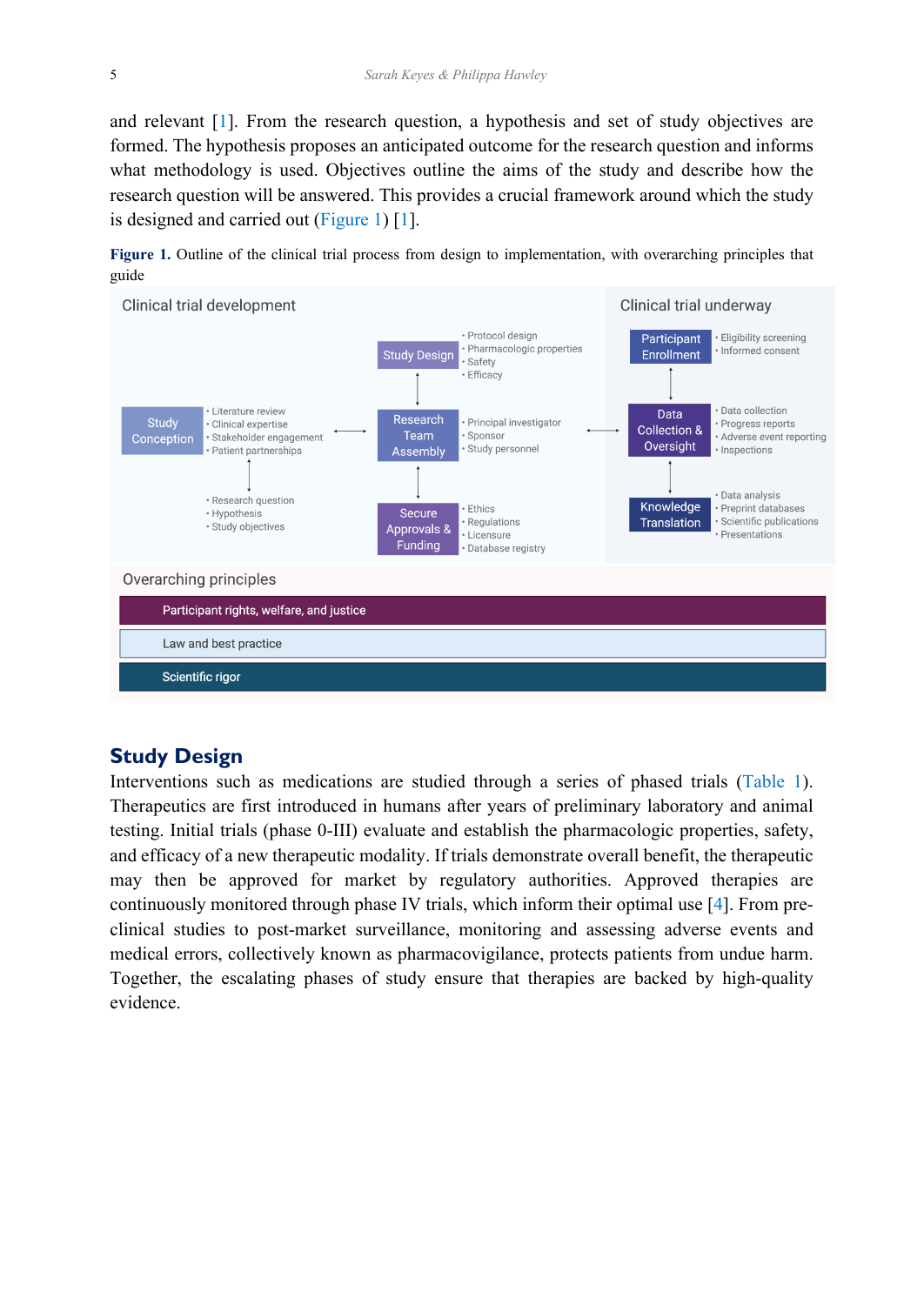<span id="page-1-0"></span>and relevant [[1\]](#page-7-0). From the research question, a hypothesis and set of study objectives are formed. The hypothesis proposes an anticipated outcome for the research question and informs what methodology is used. Objectives outline the aims of the study and describe how the research question will be answered. This provides a crucial framework around which the study is designed and carried out (Figure 1) [[1\]](#page-7-0).

**Figure 1.** Outline of the clinical trial process from design to implementation, with overarching principles that guide



#### **Study Design**

Interventions such as medications are studied through a series of phased trials ([Table 1\)](#page-2-0). Therapeutics are first introduced in humans after years of preliminary laboratory and animal testing. Initial trials (phase 0-III) evaluate and establish the pharmacologic properties, safety, and efficacy of a new therapeutic modality. If trials demonstrate overall benefit, the therapeutic may then be approved for market by regulatory authorities. Approved therapies are continuously monitored through phase IV trials, which inform their optimal use [\[4](#page-7-0)]. From preclinical studies to post-market surveillance, monitoring and assessing adverse events and medical errors, collectively known as pharmacovigilance, protects patients from undue harm. Together, the escalating phases of study ensure that therapies are backed by high-quality evidence.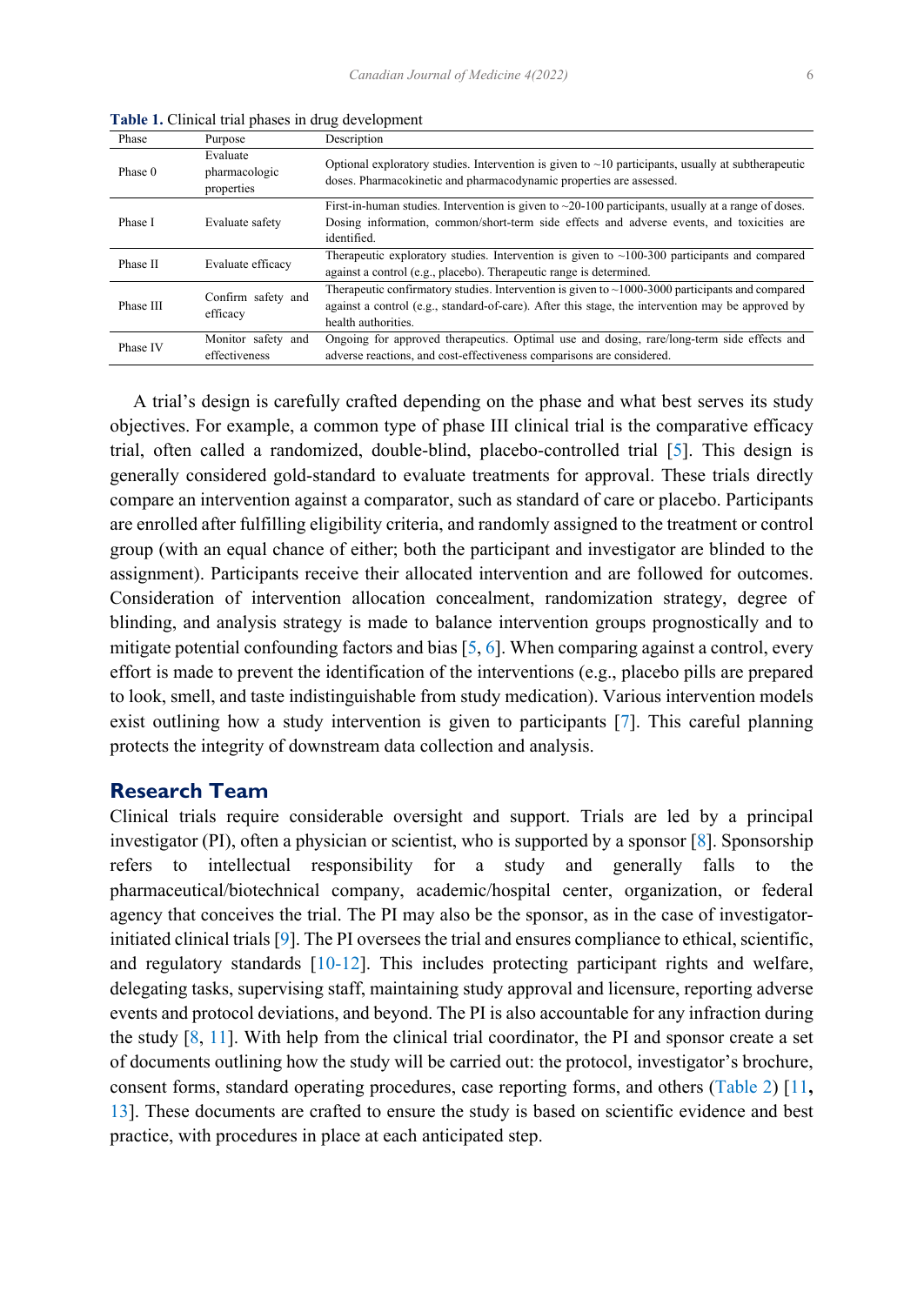| Phase     | Purpose                                 | Description                                                                                                                                                                                                                       |
|-----------|-----------------------------------------|-----------------------------------------------------------------------------------------------------------------------------------------------------------------------------------------------------------------------------------|
| Phase 0   | Evaluate<br>pharmacologic<br>properties | Optional exploratory studies. Intervention is given to $\sim$ 10 participants, usually at subtherapeutic<br>doses. Pharmacokinetic and pharmacodynamic properties are assessed.                                                   |
| Phase I   | Evaluate safety                         | First-in-human studies. Intervention is given to $\sim$ 20-100 participants, usually at a range of doses.<br>Dosing information, common/short-term side effects and adverse events, and toxicities are<br>identified.             |
| Phase II  | Evaluate efficacy                       | Therapeutic exploratory studies. Intervention is given to $\sim$ 100-300 participants and compared<br>against a control (e.g., placebo). Therapeutic range is determined.                                                         |
| Phase III | Confirm safety and<br>efficacy          | Therapeutic confirmatory studies. Intervention is given to $\sim$ 1000-3000 participants and compared<br>against a control (e.g., standard-of-care). After this stage, the intervention may be approved by<br>health authorities. |
| Phase IV  | Monitor safety and<br>effectiveness     | Ongoing for approved therapeutics. Optimal use and dosing, rare/long-term side effects and<br>adverse reactions, and cost-effectiveness comparisons are considered.                                                               |

<span id="page-2-0"></span>**Table 1.** Clinical trial phases in drug development

 A trial's design is carefully crafted depending on the phase and what best serves its study objectives. For example, a common type of phase III clinical trial is the comparative efficacy trial, often called a randomized, double-blind, placebo-controlled trial [\[5](#page-7-0)]. This design is generally considered gold-standard to evaluate treatments for approval. These trials directly compare an intervention against a comparator, such as standard of care or placebo. Participants are enrolled after fulfilling eligibility criteria, and randomly assigned to the treatment or control group (with an equal chance of either; both the participant and investigator are blinded to the assignment). Participants receive their allocated intervention and are followed for outcomes. Consideration of intervention allocation concealment, randomization strategy, degree of blinding, and analysis strategy is made to balance intervention groups prognostically and to mitigate potential confounding factors and bias  $[5, 6]$  $[5, 6]$  $[5, 6]$  $[5, 6]$  $[5, 6]$ . When comparing against a control, every effort is made to prevent the identification of the interventions (e.g., placebo pills are prepared to look, smell, and taste indistinguishable from study medication). Various intervention models exist outlining how a study intervention is given to participants [\[7](#page-7-0)]. This careful planning protects the integrity of downstream data collection and analysis.

#### **Research Team**

Clinical trials require considerable oversight and support. Trials are led by a principal investigator (PI), often a physician or scientist, who is supported by a sponsor [\[8](#page-7-0)]. Sponsorship refers to intellectual responsibility for a study and generally falls to the pharmaceutical/biotechnical company, academic/hospital center, organization, or federal agency that conceives the trial. The PI may also be the sponsor, as in the case of investigatorinitiated clinical trials [[9\]](#page-7-0). The PI oversees the trial and ensures compliance to ethical, scientific, and regulatory standards [\[10-12](#page-7-0)]. This includes protecting participant rights and welfare, delegating tasks, supervising staff, maintaining study approval and licensure, reporting adverse events and protocol deviations, and beyond. The PI is also accountable for any infraction during the study [\[8](#page-7-0), [11\]](#page-7-0). With help from the clinical trial coordinator, the PI and sponsor create a set of documents outlining how the study will be carried out: the protocol, investigator's brochure, consent forms, standard operating procedures, case reporting forms, and others [\(Table 2](#page-3-0)) [[11](#page-7-0)**,**  [13\]](#page-7-0). These documents are crafted to ensure the study is based on scientific evidence and best practice, with procedures in place at each anticipated step.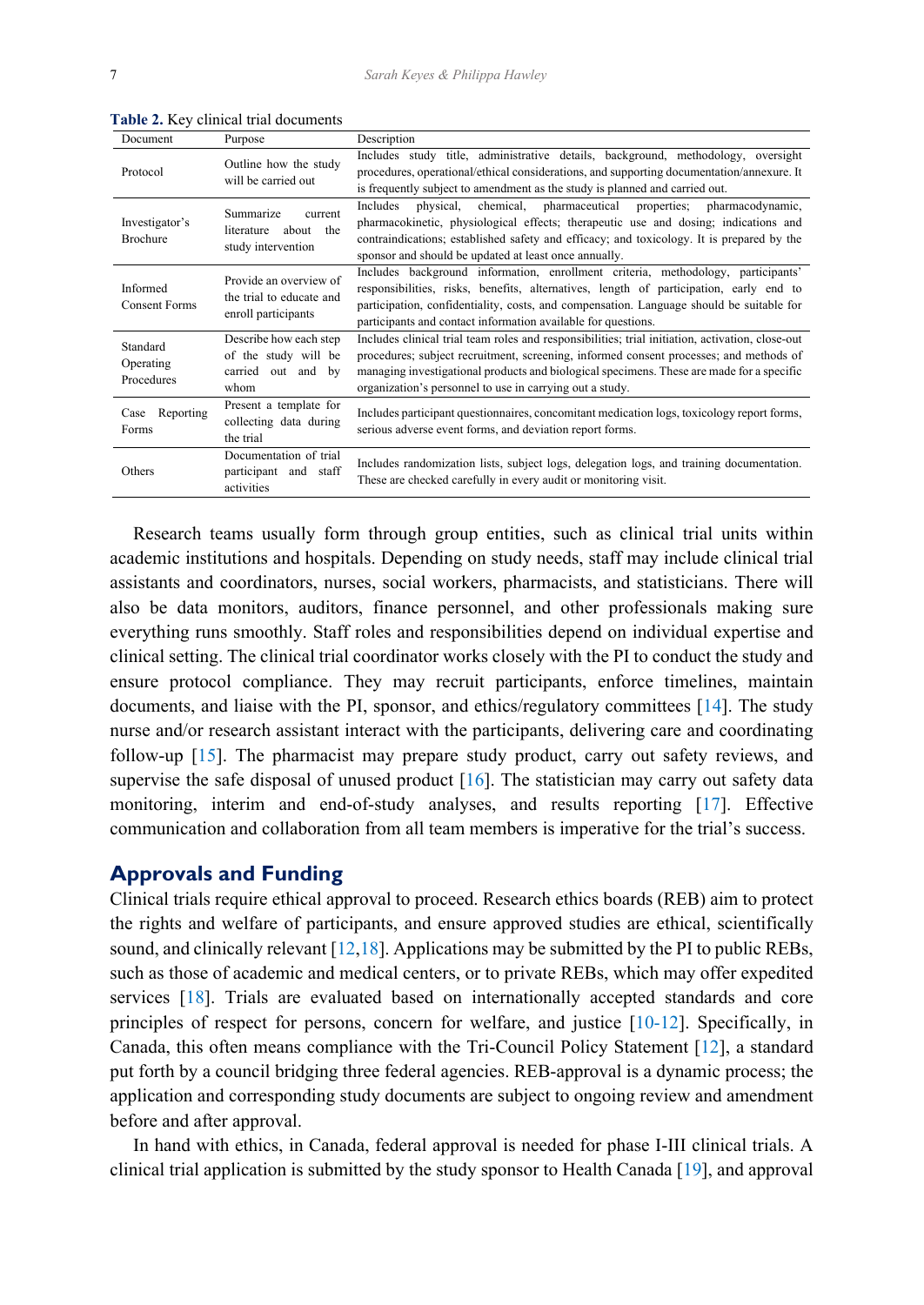| Document                            | Purpose                                                                      | Description                                                                                                                                                                                                                                                                                                                                         |
|-------------------------------------|------------------------------------------------------------------------------|-----------------------------------------------------------------------------------------------------------------------------------------------------------------------------------------------------------------------------------------------------------------------------------------------------------------------------------------------------|
| Protocol                            | Outline how the study<br>will be carried out                                 | Includes study title, administrative details, background, methodology, oversight<br>procedures, operational/ethical considerations, and supporting documentation/annexure. It<br>is frequently subject to amendment as the study is planned and carried out.                                                                                        |
| Investigator's<br>Brochure          | Summarize<br>current<br>about the<br>literature<br>study intervention        | Includes<br>physical,<br>chemical, pharmaceutical properties;<br>pharmacodynamic,<br>pharmacokinetic, physiological effects; therapeutic use and dosing; indications and<br>contraindications; established safety and efficacy; and toxicology. It is prepared by the<br>sponsor and should be updated at least once annually.                      |
| Informed<br><b>Consent Forms</b>    | Provide an overview of<br>the trial to educate and<br>enroll participants    | Includes background information, enrollment criteria, methodology, participants'<br>responsibilities, risks, benefits, alternatives, length of participation, early end to<br>participation, confidentiality, costs, and compensation. Language should be suitable for<br>participants and contact information available for questions.             |
| Standard<br>Operating<br>Procedures | Describe how each step<br>of the study will be<br>carried out and by<br>whom | Includes clinical trial team roles and responsibilities; trial initiation, activation, close-out<br>procedures; subject recruitment, screening, informed consent processes; and methods of<br>managing investigational products and biological specimens. These are made for a specific<br>organization's personnel to use in carrying out a study. |
| Reporting<br>Case<br>Forms          | Present a template for<br>collecting data during<br>the trial                | Includes participant questionnaires, concomitant medication logs, toxicology report forms,<br>serious adverse event forms, and deviation report forms.                                                                                                                                                                                              |
| Others                              | Documentation of trial<br>participant and staff<br>activities                | Includes randomization lists, subject logs, delegation logs, and training documentation.<br>These are checked carefully in every audit or monitoring visit.                                                                                                                                                                                         |

<span id="page-3-0"></span>**Table 2.** Key clinical trial documents

 Research teams usually form through group entities, such as clinical trial units within academic institutions and hospitals. Depending on study needs, staff may include clinical trial assistants and coordinators, nurses, social workers, pharmacists, and statisticians. There will also be data monitors, auditors, finance personnel, and other professionals making sure everything runs smoothly. Staff roles and responsibilities depend on individual expertise and clinical setting. The clinical trial coordinator works closely with the PI to conduct the study and ensure protocol compliance. They may recruit participants, enforce timelines, maintain documents, and liaise with the PI, sponsor, and ethics/regulatory committees [\[14](#page-7-0)]. The study nurse and/or research assistant interact with the participants, delivering care and coordinating follow-up [[15\]](#page-7-0). The pharmacist may prepare study product, carry out safety reviews, and supervise the safe disposal of unused product  $[16]$  $[16]$ . The statistician may carry out safety data monitoring, interim and end-of-study analyses, and results reporting [[17\]](#page-7-0). Effective communication and collaboration from all team members is imperative for the trial's success.

### **Approvals and Funding**

Clinical trials require ethical approval to proceed. Research ethics boards (REB) aim to protect the rights and welfare of participants, and ensure approved studies are ethical, scientifically sound, and clinically relevant  $[12,18]$  $[12,18]$ . Applications may be submitted by the PI to public REBs, such as those of academic and medical centers, or to private REBs, which may offer expedited services [[18\]](#page-7-0). Trials are evaluated based on internationally accepted standards and core principles of respect for persons, concern for welfare, and justice [[10-12\]](#page-7-0). Specifically, in Canada, this often means compliance with the Tri-Council Policy Statement [[12\]](#page-7-0), a standard put forth by a council bridging three federal agencies. REB-approval is a dynamic process; the application and corresponding study documents are subject to ongoing review and amendment before and after approval.

 In hand with ethics, in Canada, federal approval is needed for phase I-III clinical trials. A clinical trial application is submitted by the study sponsor to Health Canada [[19\]](#page-7-0), and approval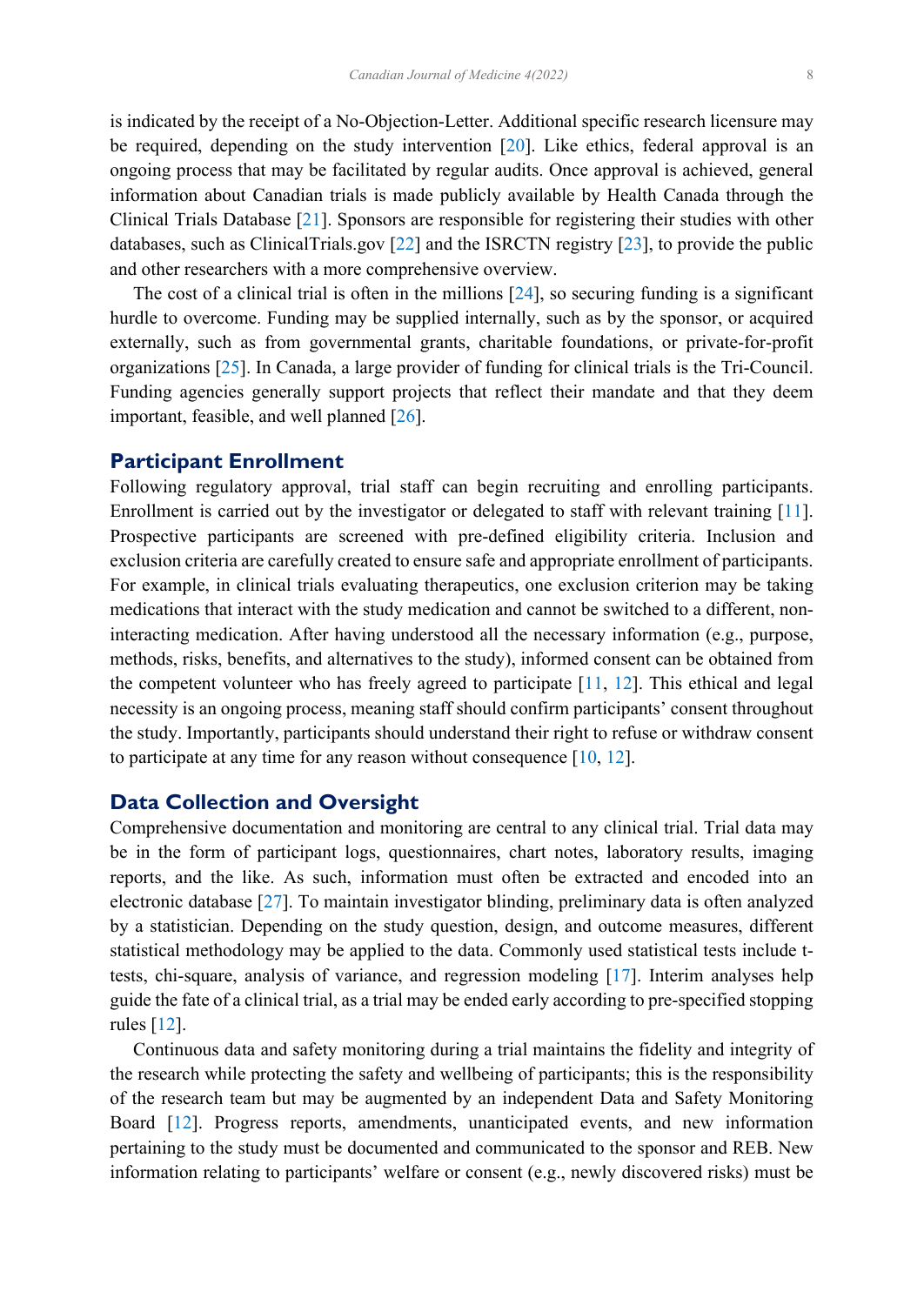<span id="page-4-0"></span>is indicated by the receipt of a No-Objection-Letter. Additional specific research licensure may be required, depending on the study intervention [[20\]](#page-7-0). Like ethics, federal approval is an ongoing process that may be facilitated by regular audits. Once approval is achieved, general information about Canadian trials is made publicly available by Health Canada through the Clinical Trials Database [\[21](#page-8-0)]. Sponsors are responsible for registering their studies with other databases, such as ClinicalTrials.gov [\[22](#page-8-0)] and the ISRCTN registry [\[23](#page-8-0)], to provide the public and other researchers with a more comprehensive overview.

 The cost of a clinical trial is often in the millions [\[24](#page-8-0)], so securing funding is a significant hurdle to overcome. Funding may be supplied internally, such as by the sponsor, or acquired externally, such as from governmental grants, charitable foundations, or private-for-profit organizations [[25\]](#page-8-0). In Canada, a large provider of funding for clinical trials is the Tri-Council. Funding agencies generally support projects that reflect their mandate and that they deem important, feasible, and well planned [[26\]](#page-8-0).

#### **Participant Enrollment**

Following regulatory approval, trial staff can begin recruiting and enrolling participants. Enrollment is carried out by the investigator or delegated to staff with relevant training [[11\]](#page-7-0). Prospective participants are screened with pre-defined eligibility criteria. Inclusion and exclusion criteria are carefully created to ensure safe and appropriate enrollment of participants. For example, in clinical trials evaluating therapeutics, one exclusion criterion may be taking medications that interact with the study medication and cannot be switched to a different, noninteracting medication. After having understood all the necessary information (e.g., purpose, methods, risks, benefits, and alternatives to the study), informed consent can be obtained from the competent volunteer who has freely agreed to participate [[11,](#page-7-0) [12\]](#page-7-0). This ethical and legal necessity is an ongoing process, meaning staff should confirm participants' consent throughout the study. Importantly, participants should understand their right to refuse or withdraw consent to participate at any time for any reason without consequence [[10,](#page-7-0) [12\]](#page-7-0).

#### **Data Collection and Oversight**

Comprehensive documentation and monitoring are central to any clinical trial. Trial data may be in the form of participant logs, questionnaires, chart notes, laboratory results, imaging reports, and the like. As such, information must often be extracted and encoded into an electronic database [\[27](#page-8-0)]. To maintain investigator blinding, preliminary data is often analyzed by a statistician. Depending on the study question, design, and outcome measures, different statistical methodology may be applied to the data. Commonly used statistical tests include ttests, chi-square, analysis of variance, and regression modeling [[17\]](#page-7-0). Interim analyses help guide the fate of a clinical trial, as a trial may be ended early according to pre-specified stopping rules [\[12](#page-7-0)].

 Continuous data and safety monitoring during a trial maintains the fidelity and integrity of the research while protecting the safety and wellbeing of participants; this is the responsibility of the research team but may be augmented by an independent Data and Safety Monitoring Board [[12\]](#page-7-0). Progress reports, amendments, unanticipated events, and new information pertaining to the study must be documented and communicated to the sponsor and REB. New information relating to participants' welfare or consent (e.g., newly discovered risks) must be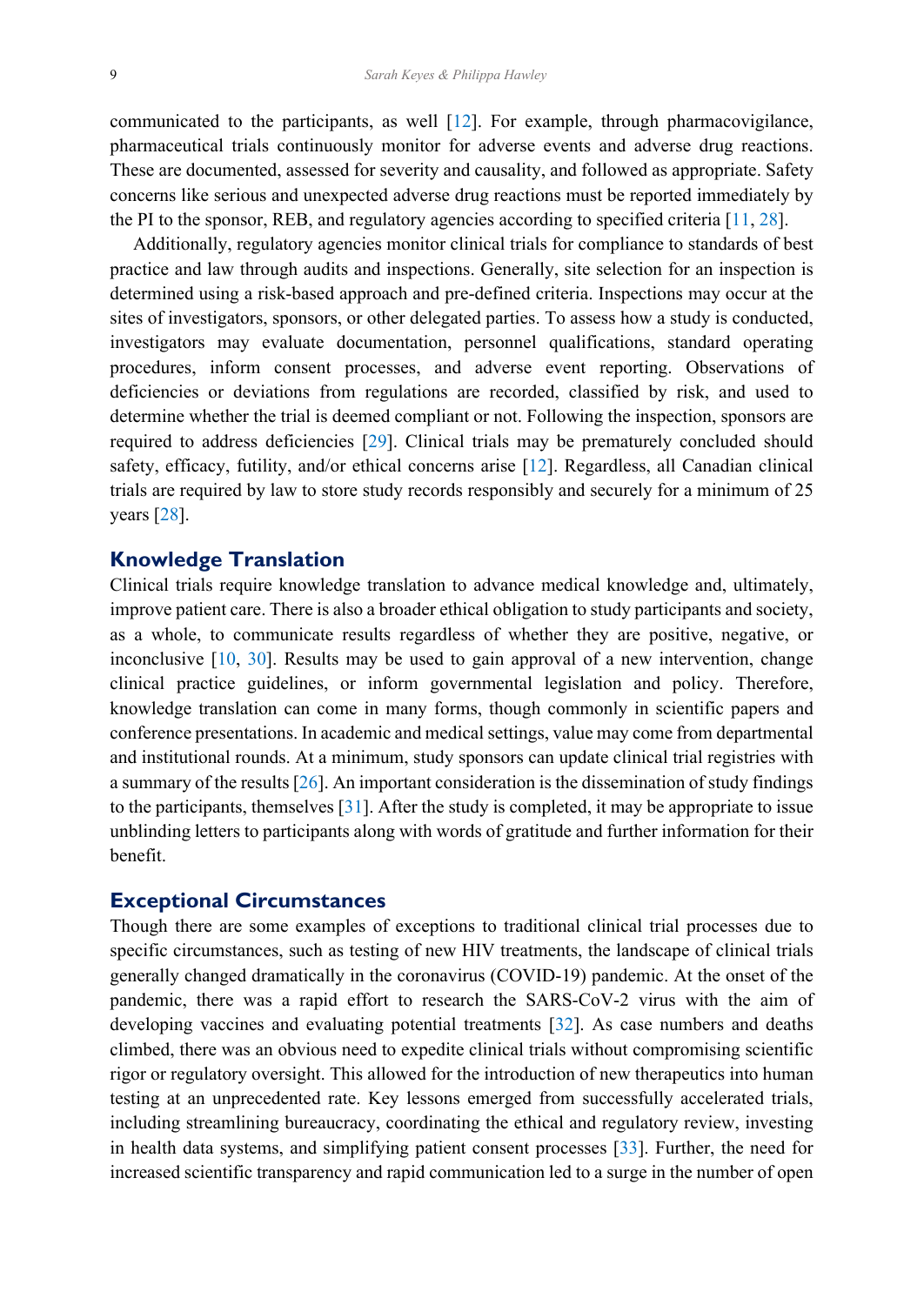<span id="page-5-0"></span>communicated to the participants, as well [[12\]](#page-7-0). For example, through pharmacovigilance, pharmaceutical trials continuously monitor for adverse events and adverse drug reactions. These are documented, assessed for severity and causality, and followed as appropriate. Safety concerns like serious and unexpected adverse drug reactions must be reported immediately by the PI to the sponsor, REB, and regulatory agencies according to specified criteria [[11,](#page-7-0) [28\]](#page-8-0).

 Additionally, regulatory agencies monitor clinical trials for compliance to standards of best practice and law through audits and inspections. Generally, site selection for an inspection is determined using a risk-based approach and pre-defined criteria. Inspections may occur at the sites of investigators, sponsors, or other delegated parties. To assess how a study is conducted, investigators may evaluate documentation, personnel qualifications, standard operating procedures, inform consent processes, and adverse event reporting. Observations of deficiencies or deviations from regulations are recorded, classified by risk, and used to determine whether the trial is deemed compliant or not. Following the inspection, sponsors are required to address deficiencies [[29\]](#page-8-0). Clinical trials may be prematurely concluded should safety, efficacy, futility, and/or ethical concerns arise [[12\]](#page-7-0). Regardless, all Canadian clinical trials are required by law to store study records responsibly and securely for a minimum of 25 years [\[28](#page-8-0)].

#### **Knowledge Translation**

Clinical trials require knowledge translation to advance medical knowledge and, ultimately, improve patient care. There is also a broader ethical obligation to study participants and society, as a whole, to communicate results regardless of whether they are positive, negative, or inconclusive [\[10](#page-7-0), [30\]](#page-8-0). Results may be used to gain approval of a new intervention, change clinical practice guidelines, or inform governmental legislation and policy. Therefore, knowledge translation can come in many forms, though commonly in scientific papers and conference presentations. In academic and medical settings, value may come from departmental and institutional rounds. At a minimum, study sponsors can update clinical trial registries with a summary of the results [\[26](#page-8-0)]. An important consideration is the dissemination of study findings to the participants, themselves [\[31](#page-8-0)]. After the study is completed, it may be appropriate to issue unblinding letters to participants along with words of gratitude and further information for their benefit.

### **Exceptional Circumstances**

Though there are some examples of exceptions to traditional clinical trial processes due to specific circumstances, such as testing of new HIV treatments, the landscape of clinical trials generally changed dramatically in the coronavirus (COVID-19) pandemic. At the onset of the pandemic, there was a rapid effort to research the SARS-CoV-2 virus with the aim of developing vaccines and evaluating potential treatments [[32\]](#page-8-0). As case numbers and deaths climbed, there was an obvious need to expedite clinical trials without compromising scientific rigor or regulatory oversight. This allowed for the introduction of new therapeutics into human testing at an unprecedented rate. Key lessons emerged from successfully accelerated trials, including streamlining bureaucracy, coordinating the ethical and regulatory review, investing in health data systems, and simplifying patient consent processes [[33\]](#page-8-0). Further, the need for increased scientific transparency and rapid communication led to a surge in the number of open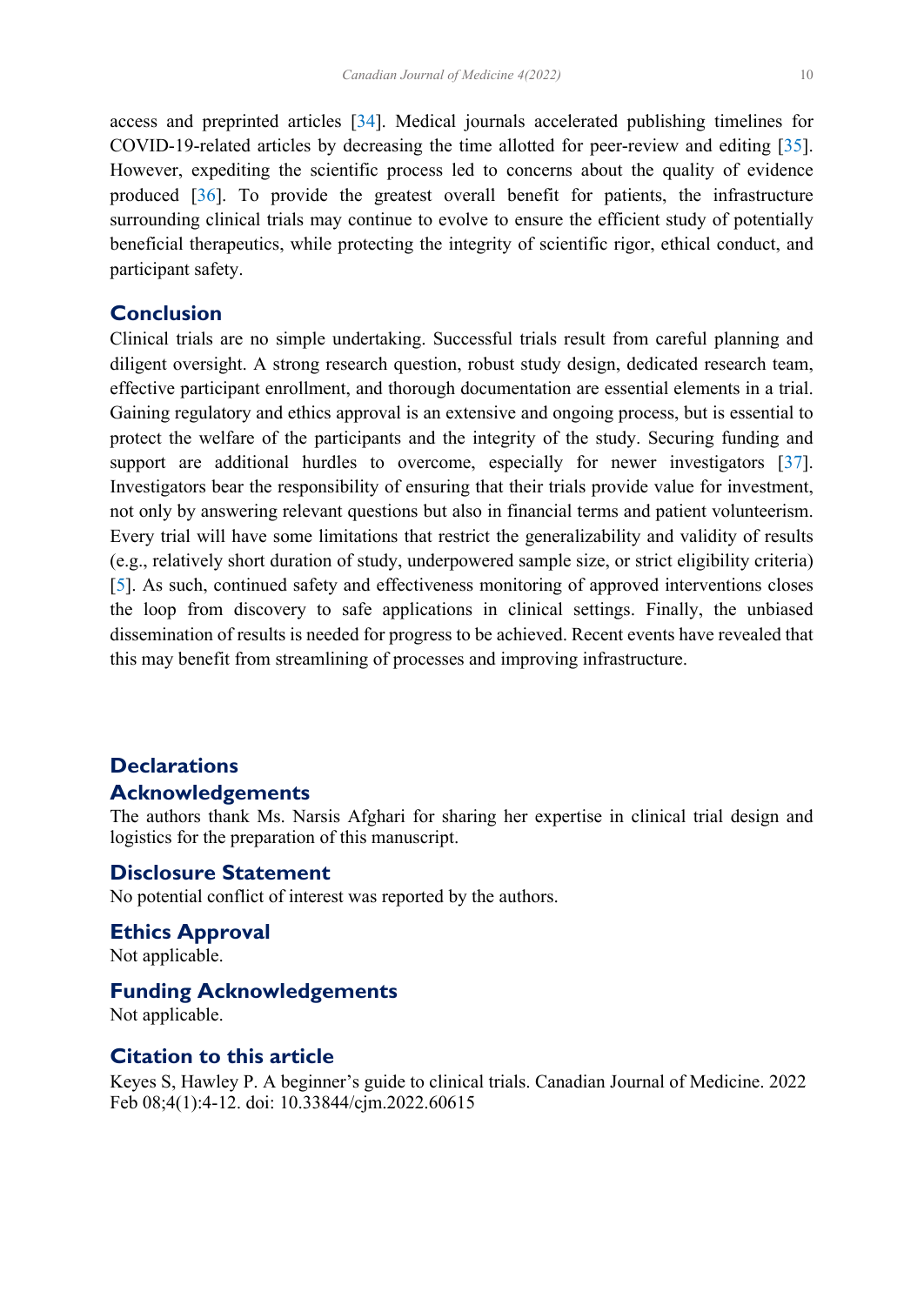<span id="page-6-0"></span>access and preprinted articles [\[34](#page-8-0)]. Medical journals accelerated publishing timelines for COVID-19-related articles by decreasing the time allotted for peer-review and editing [[35\]](#page-8-0). However, expediting the scientific process led to concerns about the quality of evidence produced [\[36](#page-8-0)]. To provide the greatest overall benefit for patients, the infrastructure surrounding clinical trials may continue to evolve to ensure the efficient study of potentially beneficial therapeutics, while protecting the integrity of scientific rigor, ethical conduct, and participant safety.

## **Conclusion**

Clinical trials are no simple undertaking. Successful trials result from careful planning and diligent oversight. A strong research question, robust study design, dedicated research team, effective participant enrollment, and thorough documentation are essential elements in a trial. Gaining regulatory and ethics approval is an extensive and ongoing process, but is essential to protect the welfare of the participants and the integrity of the study. Securing funding and support are additional hurdles to overcome, especially for newer investigators [[37\]](#page-8-0). Investigators bear the responsibility of ensuring that their trials provide value for investment, not only by answering relevant questions but also in financial terms and patient volunteerism. Every trial will have some limitations that restrict the generalizability and validity of results (e.g., relatively short duration of study, underpowered sample size, or strict eligibility criteria) [[5\]](#page-7-0). As such, continued safety and effectiveness monitoring of approved interventions closes the loop from discovery to safe applications in clinical settings. Finally, the unbiased dissemination of results is needed for progress to be achieved. Recent events have revealed that this may benefit from streamlining of processes and improving infrastructure.

## **Declarations Acknowledgements**

The authors thank Ms. Narsis Afghari for sharing her expertise in clinical trial design and logistics for the preparation of this manuscript.

## **Disclosure Statement**

No potential conflict of interest was reported by the authors.

**Ethics Approval** Not applicable.

#### **Funding Acknowledgements**

Not applicable.

## **Citation to this article**

Keyes S, Hawley P. A beginner's guide to clinical trials. Canadian Journal of Medicine. 2022 Feb 08;4(1):4-12. doi: 10.33844/cjm.2022.60615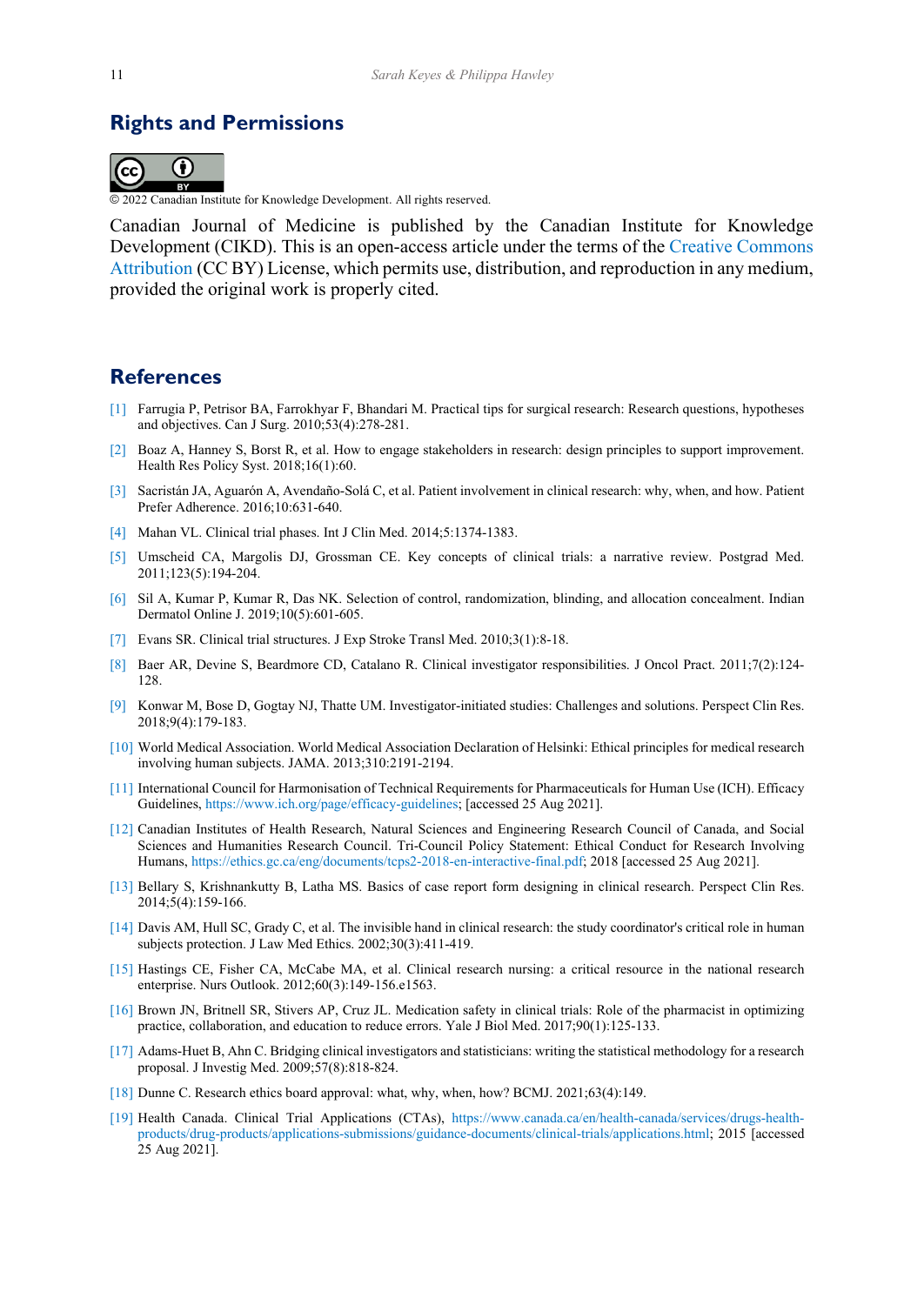## <span id="page-7-0"></span>**Rights and Permissions**



© 2022 Canadian Institute for Knowledge Development. All rights reserved.

Canadian Journal of Medicine is published by the Canadian Institute for Knowledge Development (CIKD). This is an open-access article under the terms of the [Creative Commons](https://creativecommons.org/licenses/by/4.0/)  [Attribution](https://creativecommons.org/licenses/by/4.0/) (CC BY) License, which permits use, distribution, and reproduction in any medium, provided the original work is properly cited.

### **References**

- [\[1\]](#page-0-0) Farrugia P, Petrisor BA, Farrokhyar F, Bhandari M. Practical tips for surgical research: Research questions, hypotheses and objectives. Can J Surg. 2010;53(4):278-281.
- [\[2\]](#page-0-0) Boaz A, Hanney S, Borst R, et al. How to engage stakeholders in research: design principles to support improvement. Health Res Policy Syst. 2018;16(1):60.
- [\[3\]](#page-0-0) Sacristán JA, Aguarón A, Avendaño-Solá C, et al. Patient involvement in clinical research: why, when, and how. Patient Prefer Adherence. 2016;10:631-640.
- [\[4\]](#page-1-0) Mahan VL. Clinical trial phases. Int J Clin Med. 2014;5:1374-1383.
- [\[5\]](#page-2-0) Umscheid CA, Margolis DJ, Grossman CE. Key concepts of clinical trials: a narrative review. Postgrad Med. 2011;123(5):194-204.
- [\[6\]](#page-2-0) Sil A, Kumar P, Kumar R, Das NK. Selection of control, randomization, blinding, and allocation concealment. Indian Dermatol Online J. 2019;10(5):601-605.
- [\[7\]](#page-2-0) Evans SR. Clinical trial structures. J Exp Stroke Transl Med. 2010;3(1):8-18.
- [\[8\]](#page-2-0) Baer AR, Devine S, Beardmore CD, Catalano R. Clinical investigator responsibilities. J Oncol Pract. 2011;7(2):124- 128.
- [\[9\]](#page-2-0) Konwar M, Bose D, Gogtay NJ, Thatte UM. Investigator-initiated studies: Challenges and solutions. Perspect Clin Res. 2018;9(4):179-183.
- [\[10\]](#page-2-0) World Medical Association. World Medical Association Declaration of Helsinki: Ethical principles for medical research involving human subjects. JAMA. 2013;310:2191-2194.
- [\[11\]](#page-2-0) International Council for Harmonisation of Technical Requirements for Pharmaceuticals for Human Use (ICH). Efficacy Guidelines, https://www.ich.org/page/efficacy-guidelines; [accessed 25 Aug 2021].
- [\[12\]](#page-2-0) Canadian Institutes of Health Research, Natural Sciences and Engineering Research Council of Canada, and Social Sciences and Humanities Research Council. Tri-Council Policy Statement: Ethical Conduct for Research Involving Humans, https://ethics.gc.ca/eng/documents/tcps2-2018-en-interactive-final.pdf; 2018 [accessed 25 Aug 2021].
- [\[13\]](#page-2-0) Bellary S, Krishnankutty B, Latha MS. Basics of case report form designing in clinical research. Perspect Clin Res. 2014;5(4):159-166.
- [\[14\]](#page-3-0) Davis AM, Hull SC, Grady C, et al. The invisible hand in clinical research: the study coordinator's critical role in human subjects protection. J Law Med Ethics. 2002;30(3):411-419.
- [\[15\]](#page-3-0) Hastings CE, Fisher CA, McCabe MA, et al. Clinical research nursing: a critical resource in the national research enterprise. Nurs Outlook. 2012;60(3):149-156.e1563.
- [\[16\]](#page-3-0) Brown JN, Britnell SR, Stivers AP, Cruz JL. Medication safety in clinical trials: Role of the pharmacist in optimizing practice, collaboration, and education to reduce errors. Yale J Biol Med. 2017;90(1):125-133.
- [\[17\]](#page-3-0) Adams-Huet B, Ahn C. Bridging clinical investigators and statisticians: writing the statistical methodology for a research proposal. J Investig Med. 2009;57(8):818-824.
- [\[18\]](#page-3-0) Dunne C. Research ethics board approval: what, why, when, how? BCMJ. 2021;63(4):149.
- [\[19\]](#page-4-0) Health Canada. Clinical Trial Applications (CTAs), https://www.canada.ca/en/health-canada/services/drugs-healthproducts/drug-products/applications-submissions/guidance-documents/clinical-trials/applications.html; 2015 [accessed 25 Aug 2021].